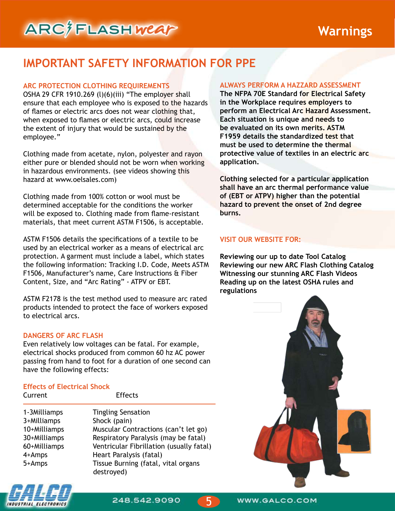## **IMPORTANT SAFETY INFORMATION FOR PPE**

#### **ARC PROTECTION CLOTHING REQUIREMENTS**

OSHA 29 CFR 1910.269 (l)(6)(iii) "The employer shall ensure that each employee who is exposed to the hazards of flames or electric arcs does not wear clothing that, when exposed to flames or electric arcs, could increase the extent of injury that would be sustained by the employee."

Clothing made from acetate, nylon, polyester and rayon either pure or blended should not be worn when working in hazardous environments. (see videos showing this hazard at www.oelsales.com)

Clothing made from 100% cotton or wool must be determined acceptable for the conditions the worker will be exposed to. Clothing made from flame-resistant materials, that meet current ASTM F1506, is acceptable.

ASTM F1506 details the specifications of a textile to be used by an electrical worker as a means of electrical arc protection. A garment must include a label, which states the following information: Tracking I.D. Code, Meets ASTM F1506, Manufacturer's name, Care Instructions & Fiber Content, Size, and "Arc Rating" - ATPV or EBT.

ASTM F2178 is the test method used to measure arc rated products intended to protect the face of workers exposed to electrical arcs.

#### **DANGERS OF ARC FLASH**

Even relatively low voltages can be fatal. For example, electrical shocks produced from common 60 hz AC power passing from hand to foot for a duration of one second can have the following effects:

Effects

## **Effects of Electrical Shock**

| un chu                                                                                          |
|-------------------------------------------------------------------------------------------------|
| 1-3Milliamps<br>3+Milliamps<br>10+Milliamps<br>30+Milliamps<br>60+Milliamps<br>4+Amps<br>5+Amps |
|                                                                                                 |

**Tingling Sensation** Shock (pain) Muscular Contractions (can't let go) Respiratory Paralysis (may be fatal) Ventricular Fibrillation (usually fatal) Heart Paralysis (fatal) Tissue Burning (fatal, vital organs destroyed)

## **ALWAYS PERFORM A HAZZARD ASSESSMENT**

**The NFPA 70E Standard for Electrical Safety in the Workplace requires employers to perform an Electrical Arc Hazard Assessment. Each situation is unique and needs to be evaluated on its own merits. ASTM F1959 details the standardized test that must be used to determine the thermal protective value of textiles in an electric arc application.**

**Clothing selected for a particular application shall have an arc thermal performance value of (EBT or ATPV) higher than the potential hazard to prevent the onset of 2nd degree burns.**

#### **VISIT OUR WEBSITE FOR:**

**Reviewing our up to date Tool Catalog Reviewing our new ARC Flash Clothing Catalog Witnessing our stunning ARC Flash Videos Reading up on the latest OSHA rules and regulations**





248.542.9090

5

WWW.GALCO.COM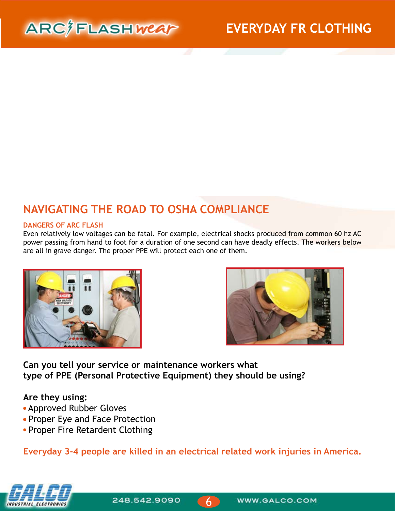

# **NAVIGATING THE ROAD TO OSHA COMPLIANCE**

#### **DANGERS OF ARC FLASH**

Even relatively low voltages can be fatal. For example, electrical shocks produced from common 60 hz AC power passing from hand to foot for a duration of one second can have deadly effects. The workers below are all in grave danger. The proper PPE will protect each one of them.





**Can you tell your service or maintenance workers what type of PPE (Personal Protective Equipment) they should be using?** 

### **Are they using:**

- Approved Rubber Gloves
- Proper Eye and Face Protection
- Proper Fire Retardent Clothing

**Everyday 3-4 people are killed in an electrical related work injuries in America.**



248.542.9090